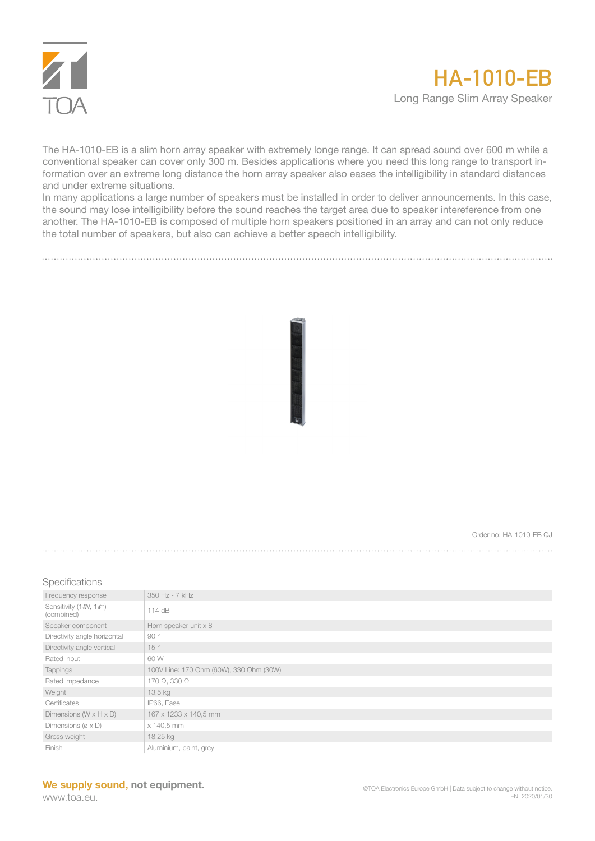

The HA-1010-EB is a slim horn array speaker with extremely longe range. It can spread sound over 600 m while a conventional speaker can cover only 300 m. Besides applications where you need this long range to transport information over an extreme long distance the horn array speaker also eases the intelligibility in standard distances and under extreme situations.

In many applications a large number of speakers must be installed in order to deliver announcements. In this case, the sound may lose intelligibility before the sound reaches the target area due to speaker intereference from one another. The HA-1010-EB is composed of multiple horn speakers positioned in an array and can not only reduce the total number of speakers, but also can achieve a better speech intelligibility.

Order no:  $HA-1010-ERO$ 

Specifications

| Frequency response                   | 350 Hz - 7 kHz                          |
|--------------------------------------|-----------------------------------------|
| Sensitivity (1#V, 1#n)<br>(combined) | $114$ dB                                |
| Speaker component                    | Horn speaker unit x 8                   |
| Directivity angle horizontal         | 90°                                     |
| Directivity angle vertical           | 15°                                     |
| Rated input                          | 60 W                                    |
| Tappings                             | 100V Line: 170 Ohm (60W), 330 Ohm (30W) |
| Rated impedance                      | 170 $\Omega$ , 330 $\Omega$             |
| Weight                               | 13,5 kg                                 |
| Certificates                         | IP66, Ease                              |
| Dimensions ( $W \times H \times D$ ) | 167 x 1233 x 140,5 mm                   |
| Dimensions ( $\alpha \times D$ )     | x 140,5 mm                              |
| Gross weight                         | 18,25 kg                                |
| Finish                               | Aluminium, paint, grey                  |

www.toa.eu.